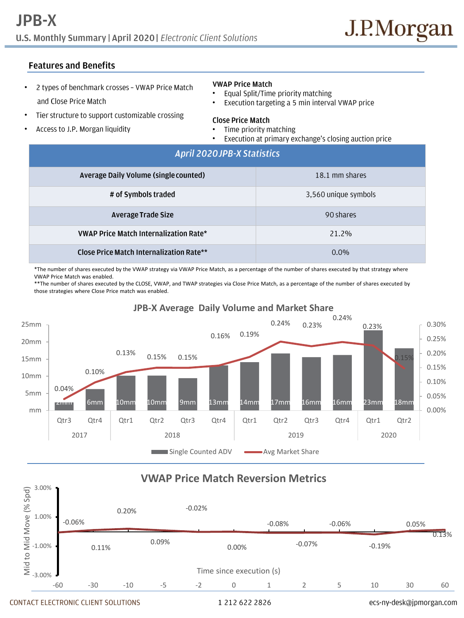# **JPB-X** U.S. Monthly Summary | April 2020 | Electronic Client Solutions

## **Features and Benefits**

2 types of benchmark crosses - VWAP Price Match • and Close Price Match

#### Tier structure to support customizable crossing •

Access to J.P. Morgan liquidity •

#### **VWAP Price Match**

- Equal Split/Time priority matching
- Execution targeting a 5 min interval VWAP price

#### **Close Price Match**

•

- Time priority matching
- Execution at primary exchange's closing auction price

| April 2020 JPB-X Statistics                   |                      |
|-----------------------------------------------|----------------------|
| Average Daily Volume (single counted)         | 18.1 mm shares       |
| # of Symbols traded                           | 3,560 unique symbols |
| Average Trade Size                            | 90 shares            |
| <b>VWAP Price Match Internalization Rate*</b> | 21.2%                |
| Close Price Match Internalization Rate**      | $0.0\%$              |

\*The number of shares executed by the VWAP strategy via VWAP Price Match, as a percentage of the number of shares executed by that strategy where VWAP Price Match was enabled.

\*\*The number of shares executed by the CLOSE, VWAP, and TWAP strategies via Close Price Match, as a percentage of the number of shares executed by those strategies where Close Price match was enabled.



# **JPB-X Average Daily Volume and Market Share**

# **VWAP Price Match Reversion Metrics**